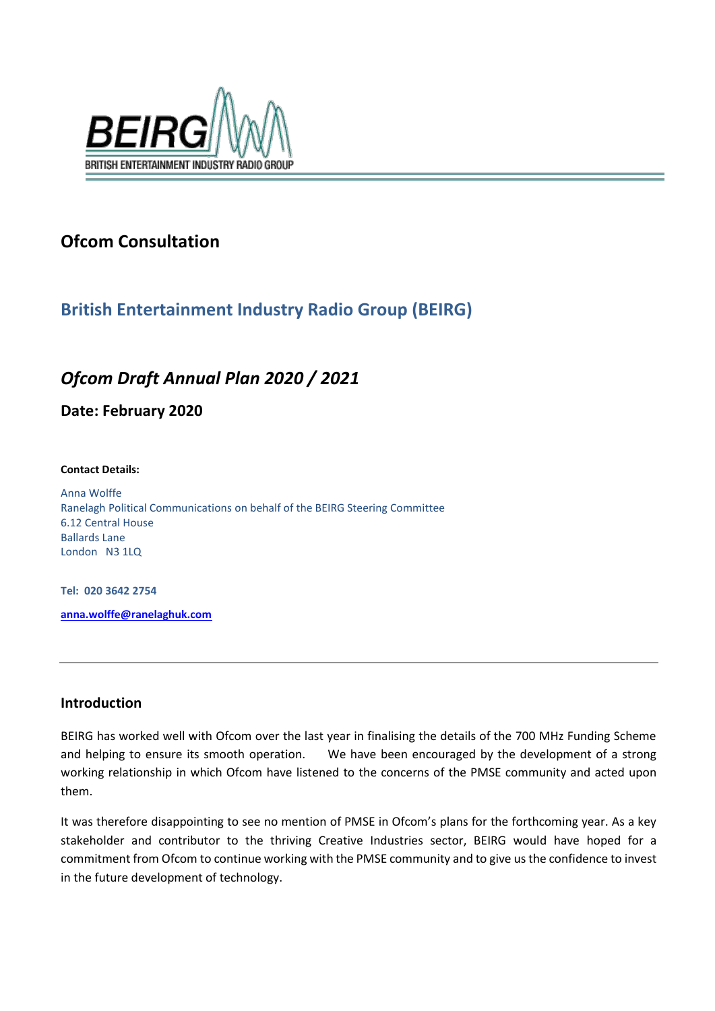

# **Ofcom Consultation**

## **British Entertainment Industry Radio Group (BEIRG)**

## *Ofcom Draft Annual Plan 2020 / 2021*

**Date: February 2020**

#### **Contact Details:**

Anna Wolffe Ranelagh Political Communications on behalf of the BEIRG Steering Committee 6.12 Central House Ballards Lane London N3 1LQ

**Tel: 020 3642 2754**

**[anna.wolffe@ranelaghuk.com](mailto:anna.wolffe@ranelaghuk.com)**

### **Introduction**

BEIRG has worked well with Ofcom over the last year in finalising the details of the 700 MHz Funding Scheme and helping to ensure its smooth operation. We have been encouraged by the development of a strong working relationship in which Ofcom have listened to the concerns of the PMSE community and acted upon them.

It was therefore disappointing to see no mention of PMSE in Ofcom's plans for the forthcoming year. As a key stakeholder and contributor to the thriving Creative Industries sector, BEIRG would have hoped for a commitment from Ofcom to continue working with the PMSE community and to give us the confidence to invest in the future development of technology.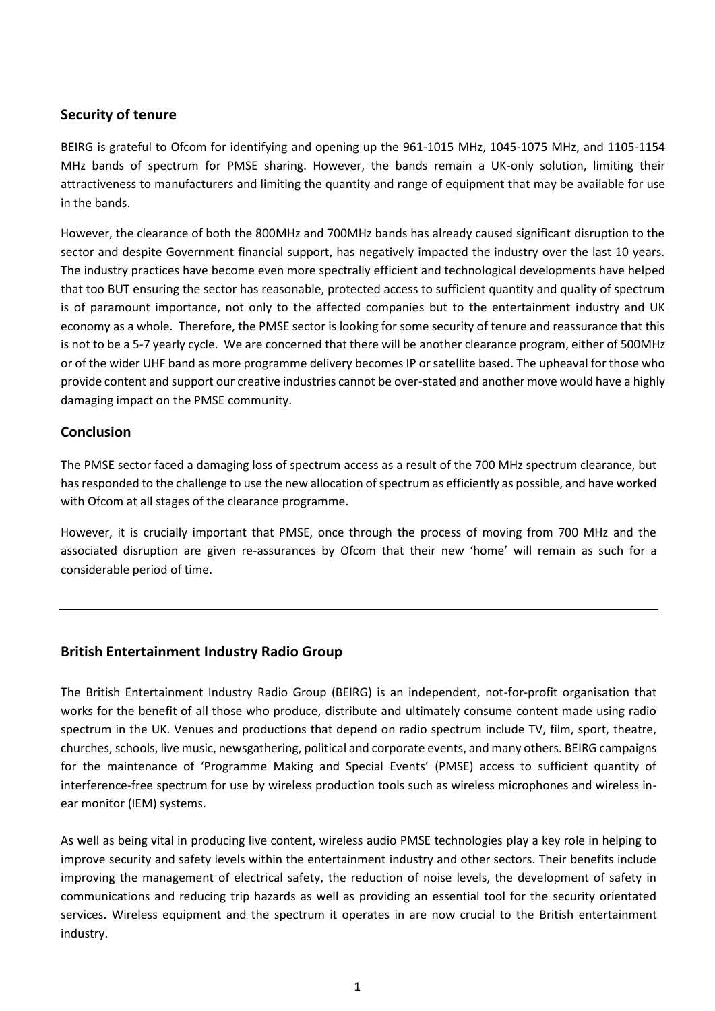### **Security of tenure**

BEIRG is grateful to Ofcom for identifying and opening up the 961-1015 MHz, 1045-1075 MHz, and 1105-1154 MHz bands of spectrum for PMSE sharing. However, the bands remain a UK-only solution, limiting their attractiveness to manufacturers and limiting the quantity and range of equipment that may be available for use in the bands.

However, the clearance of both the 800MHz and 700MHz bands has already caused significant disruption to the sector and despite Government financial support, has negatively impacted the industry over the last 10 years. The industry practices have become even more spectrally efficient and technological developments have helped that too BUT ensuring the sector has reasonable, protected access to sufficient quantity and quality of spectrum is of paramount importance, not only to the affected companies but to the entertainment industry and UK economy as a whole. Therefore, the PMSE sector is looking for some security of tenure and reassurance that this is not to be a 5-7 yearly cycle. We are concerned that there will be another clearance program, either of 500MHz or of the wider UHF band as more programme delivery becomes IP or satellite based. The upheaval for those who provide content and support our creative industries cannot be over-stated and another move would have a highly damaging impact on the PMSE community.

#### **Conclusion**

The PMSE sector faced a damaging loss of spectrum access as a result of the 700 MHz spectrum clearance, but has responded to the challenge to use the new allocation of spectrum as efficiently as possible, and have worked with Ofcom at all stages of the clearance programme.

However, it is crucially important that PMSE, once through the process of moving from 700 MHz and the associated disruption are given re-assurances by Ofcom that their new 'home' will remain as such for a considerable period of time.

### **British Entertainment Industry Radio Group**

The British Entertainment Industry Radio Group (BEIRG) is an independent, not-for-profit organisation that works for the benefit of all those who produce, distribute and ultimately consume content made using radio spectrum in the UK. Venues and productions that depend on radio spectrum include TV, film, sport, theatre, churches, schools, live music, newsgathering, political and corporate events, and many others. BEIRG campaigns for the maintenance of 'Programme Making and Special Events' (PMSE) access to sufficient quantity of interference-free spectrum for use by wireless production tools such as wireless microphones and wireless inear monitor (IEM) systems.

As well as being vital in producing live content, wireless audio PMSE technologies play a key role in helping to improve security and safety levels within the entertainment industry and other sectors. Their benefits include improving the management of electrical safety, the reduction of noise levels, the development of safety in communications and reducing trip hazards as well as providing an essential tool for the security orientated services. Wireless equipment and the spectrum it operates in are now crucial to the British entertainment industry.